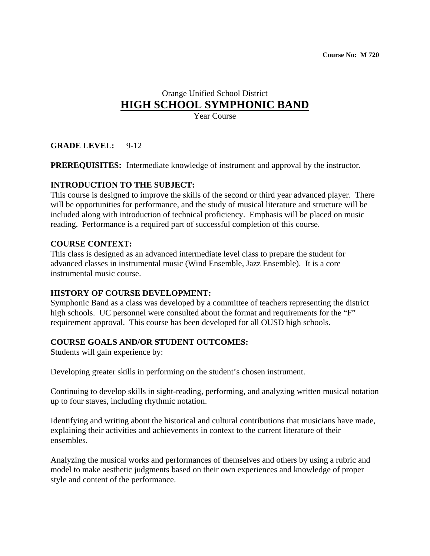# Orange Unified School District **HIGH SCHOOL SYMPHONIC BAND**

Year Course

**GRADE LEVEL:** 9-12

**PREREQUISITES:** Intermediate knowledge of instrument and approval by the instructor.

#### **INTRODUCTION TO THE SUBJECT:**

This course is designed to improve the skills of the second or third year advanced player. There will be opportunities for performance, and the study of musical literature and structure will be included along with introduction of technical proficiency. Emphasis will be placed on music reading. Performance is a required part of successful completion of this course.

#### **COURSE CONTEXT:**

This class is designed as an advanced intermediate level class to prepare the student for advanced classes in instrumental music (Wind Ensemble, Jazz Ensemble). It is a core instrumental music course.

## **HISTORY OF COURSE DEVELOPMENT:**

Symphonic Band as a class was developed by a committee of teachers representing the district high schools. UC personnel were consulted about the format and requirements for the "F" requirement approval. This course has been developed for all OUSD high schools.

## **COURSE GOALS AND/OR STUDENT OUTCOMES:**

Students will gain experience by:

Developing greater skills in performing on the student's chosen instrument.

Continuing to develop skills in sight-reading, performing, and analyzing written musical notation up to four staves, including rhythmic notation.

Identifying and writing about the historical and cultural contributions that musicians have made, explaining their activities and achievements in context to the current literature of their ensembles.

Analyzing the musical works and performances of themselves and others by using a rubric and model to make aesthetic judgments based on their own experiences and knowledge of proper style and content of the performance.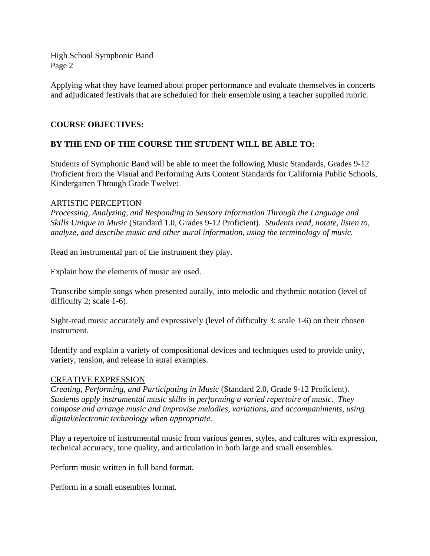Applying what they have learned about proper performance and evaluate themselves in concerts and adjudicated festivals that are scheduled for their ensemble using a teacher supplied rubric.

#### **COURSE OBJECTIVES:**

## **BY THE END OF THE COURSE THE STUDENT WILL BE ABLE TO:**

Students of Symphonic Band will be able to meet the following Music Standards, Grades 9-12 Proficient from the Visual and Performing Arts Content Standards for California Public Schools, Kindergarten Through Grade Twelve:

#### ARTISTIC PERCEPTION

*Processing, Analyzing, and Responding to Sensory Information Through the Language and Skills Unique to Music* (Standard 1.0, Grades 9-12 Proficient). *Students read, notate, listen to, analyze, and describe music and other aural information, using the terminology of music.* 

Read an instrumental part of the instrument they play.

Explain how the elements of music are used.

Transcribe simple songs when presented aurally, into melodic and rhythmic notation (level of difficulty 2; scale 1-6).

Sight-read music accurately and expressively (level of difficulty 3; scale 1-6) on their chosen instrument.

Identify and explain a variety of compositional devices and techniques used to provide unity, variety, tension, and release in aural examples.

#### CREATIVE EXPRESSION

*Creating, Performing, and Participating in Music* (Standard 2.0, Grade 9-12 Proficient). *Students apply instrumental music skills in performing a varied repertoire of music. They compose and arrange music and improvise melodies, variations, and accompaniments, using digital/electronic technology when appropriate.* 

Play a repertoire of instrumental music from various genres, styles, and cultures with expression, technical accuracy, tone quality, and articulation in both large and small ensembles.

Perform music written in full band format.

Perform in a small ensembles format.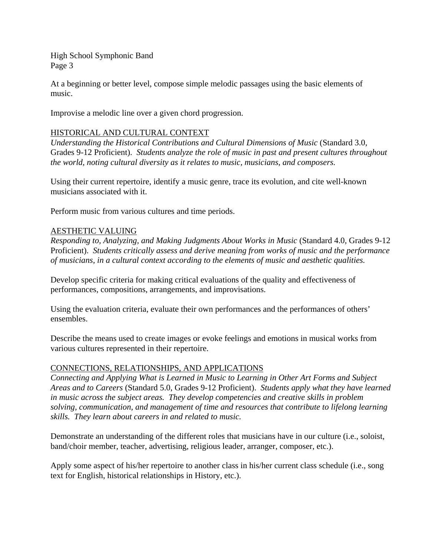At a beginning or better level, compose simple melodic passages using the basic elements of music.

Improvise a melodic line over a given chord progression.

#### HISTORICAL AND CULTURAL CONTEXT

*Understanding the Historical Contributions and Cultural Dimensions of Music* (Standard 3.0, Grades 9-12 Proficient). *Students analyze the role of music in past and present cultures throughout the world, noting cultural diversity as it relates to music, musicians, and composers.* 

Using their current repertoire, identify a music genre, trace its evolution, and cite well-known musicians associated with it.

Perform music from various cultures and time periods.

#### AESTHETIC VALUING

*Responding to, Analyzing, and Making Judgments About Works in Music* (Standard 4.0, Grades 9-12 Proficient). *Students critically assess and derive meaning from works of music and the performance of musicians, in a cultural context according to the elements of music and aesthetic qualities.* 

Develop specific criteria for making critical evaluations of the quality and effectiveness of performances, compositions, arrangements, and improvisations.

Using the evaluation criteria, evaluate their own performances and the performances of others' ensembles.

Describe the means used to create images or evoke feelings and emotions in musical works from various cultures represented in their repertoire.

#### CONNECTIONS, RELATIONSHIPS, AND APPLICATIONS

*Connecting and Applying What is Learned in Music to Learning in Other Art Forms and Subject Areas and to Careers* (Standard 5.0, Grades 9-12 Proficient). *Students apply what they have learned in music across the subject areas. They develop competencies and creative skills in problem solving, communication, and management of time and resources that contribute to lifelong learning skills. They learn about careers in and related to music.* 

Demonstrate an understanding of the different roles that musicians have in our culture (i.e., soloist, band/choir member, teacher, advertising, religious leader, arranger, composer, etc.).

Apply some aspect of his/her repertoire to another class in his/her current class schedule (i.e., song text for English, historical relationships in History, etc.).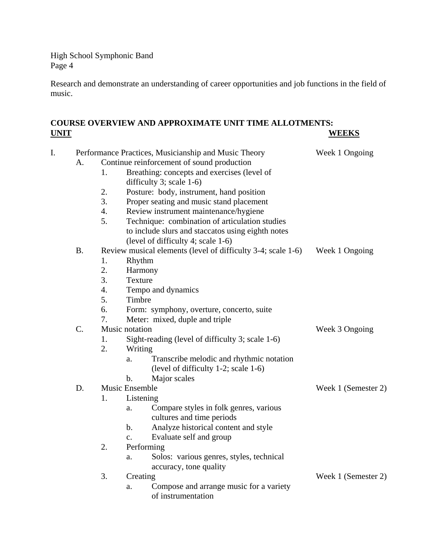Research and demonstrate an understanding of career opportunities and job functions in the field of music.

## **COURSE OVERVIEW AND APPROXIMATE UNIT TIME ALLOTMENTS: WEEKS**

| I. | Performance Practices, Musicianship and Music Theory<br>Week 1 Ongoing |                                                        |                                                              |                     |  |
|----|------------------------------------------------------------------------|--------------------------------------------------------|--------------------------------------------------------------|---------------------|--|
|    | A.                                                                     | Continue reinforcement of sound production             |                                                              |                     |  |
|    |                                                                        | 1.                                                     | Breathing: concepts and exercises (level of                  |                     |  |
|    |                                                                        |                                                        | difficulty 3; scale $1-6$ )                                  |                     |  |
|    |                                                                        | 2.                                                     | Posture: body, instrument, hand position                     |                     |  |
|    |                                                                        | 3.                                                     | Proper seating and music stand placement                     |                     |  |
|    |                                                                        | 4.                                                     | Review instrument maintenance/hygiene                        |                     |  |
|    |                                                                        | 5.                                                     | Technique: combination of articulation studies               |                     |  |
|    |                                                                        |                                                        | to include slurs and staccatos using eighth notes            |                     |  |
|    |                                                                        |                                                        | (level of difficulty 4; scale 1-6)                           |                     |  |
|    | <b>B.</b>                                                              |                                                        | Review musical elements (level of difficulty 3-4; scale 1-6) | Week 1 Ongoing      |  |
|    |                                                                        | 1.                                                     | Rhythm                                                       |                     |  |
|    |                                                                        | 2.                                                     | Harmony                                                      |                     |  |
|    |                                                                        | 3.                                                     | Texture                                                      |                     |  |
|    |                                                                        | $\overline{4}$ .                                       | Tempo and dynamics                                           |                     |  |
|    |                                                                        | 5.                                                     | Timbre                                                       |                     |  |
|    |                                                                        | 6.                                                     | Form: symphony, overture, concerto, suite                    |                     |  |
|    |                                                                        | 7.                                                     | Meter: mixed, duple and triple                               |                     |  |
|    | C.                                                                     |                                                        | Music notation                                               | Week 3 Ongoing      |  |
|    |                                                                        | Sight-reading (level of difficulty 3; scale 1-6)<br>1. |                                                              |                     |  |
|    |                                                                        | 2.                                                     | Writing                                                      |                     |  |
|    |                                                                        |                                                        | Transcribe melodic and rhythmic notation<br>a.               |                     |  |
|    |                                                                        |                                                        | (level of difficulty 1-2; scale 1-6)                         |                     |  |
|    |                                                                        |                                                        | Major scales<br>$\mathbf{b}$ .                               |                     |  |
|    | D.                                                                     | Music Ensemble                                         |                                                              | Week 1 (Semester 2) |  |
|    |                                                                        | 1.                                                     | Listening                                                    |                     |  |
|    |                                                                        |                                                        | Compare styles in folk genres, various<br>a.                 |                     |  |
|    |                                                                        |                                                        | cultures and time periods                                    |                     |  |
|    |                                                                        |                                                        | Analyze historical content and style<br>$\mathbf b$ .        |                     |  |
|    |                                                                        |                                                        | Evaluate self and group<br>$\mathbf{c}$ .                    |                     |  |
|    |                                                                        | 2.                                                     | Performing                                                   |                     |  |
|    |                                                                        |                                                        | Solos: various genres, styles, technical<br>a.               |                     |  |
|    |                                                                        |                                                        | accuracy, tone quality                                       |                     |  |
|    |                                                                        | 3.                                                     | Creating                                                     | Week 1 (Semester 2) |  |
|    |                                                                        |                                                        | Compose and arrange music for a variety<br>a.                |                     |  |
|    |                                                                        |                                                        | of instrumentation                                           |                     |  |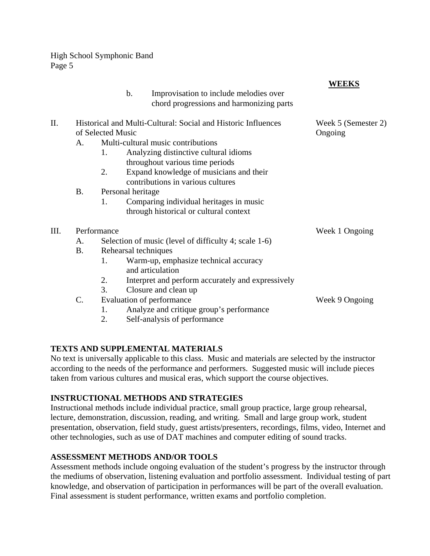|      |                                                                                    |                   | Improvisation to include melodies over<br>$\mathbf b$ .<br>chord progressions and harmonizing parts | <b>WEEKS</b>                   |
|------|------------------------------------------------------------------------------------|-------------------|-----------------------------------------------------------------------------------------------------|--------------------------------|
| II.  | Historical and Multi-Cultural: Social and Historic Influences<br>of Selected Music |                   |                                                                                                     | Week 5 (Semester 2)<br>Ongoing |
|      | A.                                                                                 |                   | Multi-cultural music contributions                                                                  |                                |
|      |                                                                                    | 1.                | Analyzing distinctive cultural idioms<br>throughout various time periods                            |                                |
|      |                                                                                    | 2.                | Expand knowledge of musicians and their<br>contributions in various cultures                        |                                |
|      | <b>B</b> .                                                                         | Personal heritage |                                                                                                     |                                |
|      |                                                                                    | 1.                | Comparing individual heritages in music<br>through historical or cultural context                   |                                |
| III. |                                                                                    | Performance       |                                                                                                     | Week 1 Ongoing                 |
|      | A.                                                                                 |                   | Selection of music (level of difficulty 4; scale 1-6)                                               |                                |
|      | <b>B.</b>                                                                          |                   | Rehearsal techniques                                                                                |                                |
|      |                                                                                    | 1.                | Warm-up, emphasize technical accuracy<br>and articulation                                           |                                |
|      |                                                                                    | 2.                | Interpret and perform accurately and expressively                                                   |                                |
|      |                                                                                    | 3.                | Closure and clean up                                                                                |                                |
|      | $C$ .                                                                              |                   | Evaluation of performance                                                                           | Week 9 Ongoing                 |
|      |                                                                                    | 1.                | Analyze and critique group's performance                                                            |                                |
|      |                                                                                    | 2.                | Self-analysis of performance                                                                        |                                |

## **TEXTS AND SUPPLEMENTAL MATERIALS**

No text is universally applicable to this class. Music and materials are selected by the instructor according to the needs of the performance and performers. Suggested music will include pieces taken from various cultures and musical eras, which support the course objectives.

## **INSTRUCTIONAL METHODS AND STRATEGIES**

Instructional methods include individual practice, small group practice, large group rehearsal, lecture, demonstration, discussion, reading, and writing. Small and large group work, student presentation, observation, field study, guest artists/presenters, recordings, films, video, Internet and other technologies, such as use of DAT machines and computer editing of sound tracks.

## **ASSESSMENT METHODS AND/OR TOOLS**

Assessment methods include ongoing evaluation of the student's progress by the instructor through the mediums of observation, listening evaluation and portfolio assessment. Individual testing of part knowledge, and observation of participation in performances will be part of the overall evaluation. Final assessment is student performance, written exams and portfolio completion.